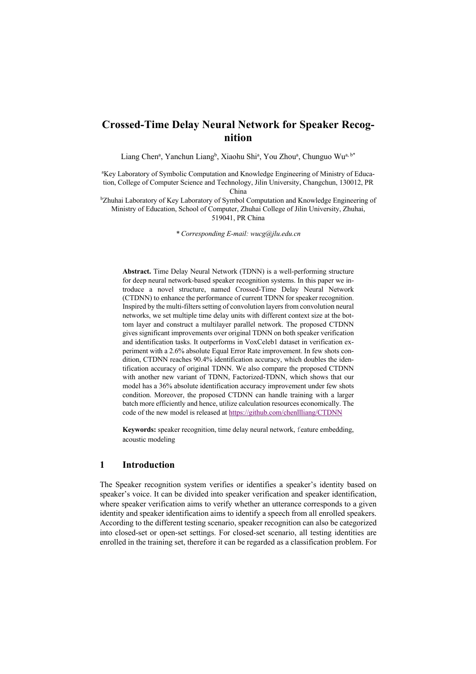# **Crossed-Time Delay Neural Network for Speaker Recognition**

Liang Chen<sup>a</sup>, Yanchun Liang<sup>b</sup>, Xiaohu Shi<sup>a</sup>, You Zhou<sup>a</sup>, Chunguo Wu<sup>a, b\*</sup>

<sup>a</sup>Key Laboratory of Symbolic Computation and Knowledge Engineering of Ministry of Education, College of Computer Science and Technology, Jilin University, Changchun, 130012, PR China

<sup>b</sup>Zhuhai Laboratory of Key Laboratory of Symbol Computation and Knowledge Engineering of Ministry of Education, School of Computer, Zhuhai College of Jilin University, Zhuhai, 519041, PR China

*\* Corresponding E-mail: wucg@jlu.edu.cn*

**Abstract.** Time Delay Neural Network (TDNN) is a well-performing structure for deep neural network-based speaker recognition systems. In this paper we introduce a novel structure, named Crossed-Time Delay Neural Network (CTDNN) to enhance the performance of current TDNN for speaker recognition. Inspired by the multi-filters setting of convolution layers from convolution neural networks, we set multiple time delay units with different context size at the bottom layer and construct a multilayer parallel network. The proposed CTDNN gives significant improvements over original TDNN on both speaker verification and identification tasks. It outperforms in VoxCeleb1 dataset in verification experiment with a 2.6% absolute Equal Error Rate improvement. In few shots condition, CTDNN reaches 90.4% identification accuracy, which doubles the identification accuracy of original TDNN. We also compare the proposed CTDNN with another new variant of TDNN, Factorized-TDNN, which shows that our model has a 36% absolute identification accuracy improvement under few shots condition. Moreover, the proposed CTDNN can handle training with a larger batch more efficiently and hence, utilize calculation resources economically. The code of the new model is released at https://github.com/chenllliang/CTDNN

**Keywords:** speaker recognition, time delay neural network, feature embedding, acoustic modeling

# **1 Introduction**

The Speaker recognition system verifies or identifies a speaker's identity based on speaker's voice. It can be divided into speaker verification and speaker identification, where speaker verification aims to verify whether an utterance corresponds to a given identity and speaker identification aims to identify a speech from all enrolled speakers. According to the different testing scenario, speaker recognition can also be categorized into closed-set or open-set settings. For closed-set scenario, all testing identities are enrolled in the training set, therefore it can be regarded as a classification problem. For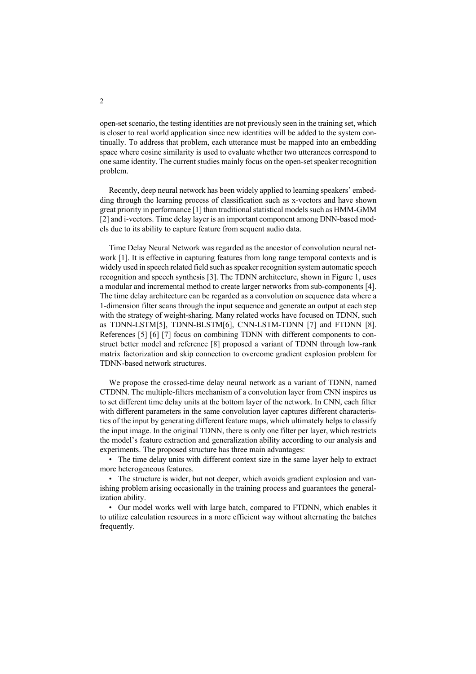open-set scenario, the testing identities are not previously seen in the training set, which is closer to real world application since new identities will be added to the system continually. To address that problem, each utterance must be mapped into an embedding space where cosine similarity is used to evaluate whether two utterances correspond to one same identity. The current studies mainly focus on the open-set speaker recognition problem.

Recently, deep neural network has been widely applied to learning speakers' embedding through the learning process of classification such as x-vectors and have shown great priority in performance [1] than traditional statistical models such as HMM-GMM [2] and i-vectors. Time delay layer is an important component among DNN-based models due to its ability to capture feature from sequent audio data.

Time Delay Neural Network was regarded as the ancestor of convolution neural network [1]. It is effective in capturing features from long range temporal contexts and is widely used in speech related field such as speaker recognition system automatic speech recognition and speech synthesis [3]. The TDNN architecture, shown in Figure 1, uses a modular and incremental method to create larger networks from sub-components [4]. The time delay architecture can be regarded as a convolution on sequence data where a 1-dimension filter scans through the input sequence and generate an output at each step with the strategy of weight-sharing. Many related works have focused on TDNN, such as TDNN-LSTM[5], TDNN-BLSTM[6], CNN-LSTM-TDNN [7] and FTDNN [8]. References [5] [6] [7] focus on combining TDNN with different components to construct better model and reference [8] proposed a variant of TDNN through low-rank matrix factorization and skip connection to overcome gradient explosion problem for TDNN-based network structures.

We propose the crossed-time delay neural network as a variant of TDNN, named CTDNN. The multiple-filters mechanism of a convolution layer from CNN inspires us to set different time delay units at the bottom layer of the network. In CNN, each filter with different parameters in the same convolution layer captures different characteristics of the input by generating different feature maps, which ultimately helps to classify the input image. In the original TDNN, there is only one filter per layer, which restricts the model's feature extraction and generalization ability according to our analysis and experiments. The proposed structure has three main advantages:

• The time delay units with different context size in the same layer help to extract more heterogeneous features.

• The structure is wider, but not deeper, which avoids gradient explosion and vanishing problem arising occasionally in the training process and guarantees the generalization ability.

• Our model works well with large batch, compared to FTDNN, which enables it to utilize calculation resources in a more efficient way without alternating the batches frequently.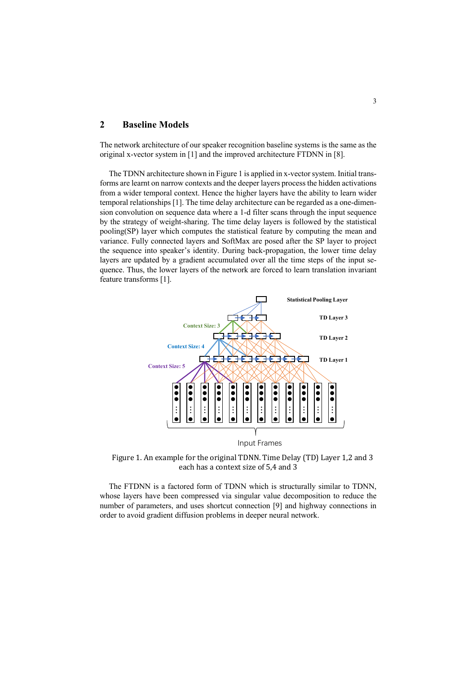# **2 Baseline Models**

The network architecture of our speaker recognition baseline systems is the same as the original x-vector system in [1] and the improved architecture FTDNN in [8].

The TDNN architecture shown in Figure 1 is applied in x-vector system. Initial transforms are learnt on narrow contexts and the deeper layers process the hidden activations from a wider temporal context. Hence the higher layers have the ability to learn wider temporal relationships [1]. The time delay architecture can be regarded as a one-dimension convolution on sequence data where a 1-d filter scans through the input sequence by the strategy of weight-sharing. The time delay layers is followed by the statistical pooling(SP) layer which computes the statistical feature by computing the mean and variance. Fully connected layers and SoftMax are posed after the SP layer to project the sequence into speaker's identity. During back-propagation, the lower time delay layers are updated by a gradient accumulated over all the time steps of the input sequence. Thus, the lower layers of the network are forced to learn translation invariant feature transforms [1].



Figure 1. An example for the original TDNN. Time Delay (TD) Layer 1,2 and 3 each has a context size of 5,4 and 3

The FTDNN is a factored form of TDNN which is structurally similar to TDNN, whose layers have been compressed via singular value decomposition to reduce the number of parameters, and uses shortcut connection [9] and highway connections in Figure 1. An example for the original TDNN. Time Delay (TD)<br>each has a context size of 5,4 and 3<br>The FTDNN is a factored form of TDNN which is structurally s<br>whose layers have been compressed via singular value decomposit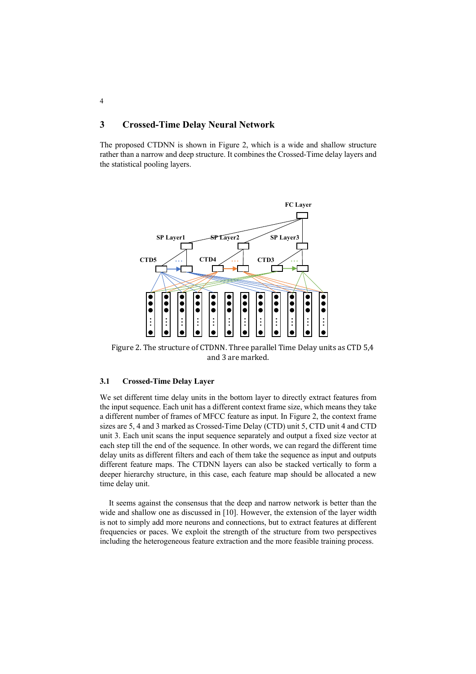# **3 Crossed-Time Delay Neural Network**

The proposed CTDNN is shown in Figure 2, which is a wide and shallow structure rather than a narrow and deep structure. It combines the Crossed-Time delay layers and the statistical pooling layers.



Figure 2. The structure of CTDNN. Three parallel Time Delay units as CTD 5.4 and 3 are marked.

#### **3.1 Crossed-Time Delay Layer**

We set different time delay units in the bottom layer to directly extract features from the input sequence. Each unit has a different context frame size, which means they take a different number of frames of MFCC feature as input. In Figure 2, the context frame sizes are 5, 4 and 3 marked as Crossed-Time Delay (CTD) unit 5, CTD unit 4 and CTD unit 3. Each unit scans the input sequence separately and output a fixed size vector at each step till the end of the sequence. In other words, we can regard the different time delay units as different filters and each of them take the sequence as input and outputs different feature maps. The CTDNN layers can also be stacked vertically to form a deeper hierarchy structure, in this case, each feature map should be allocated a new time delay unit. Figure 2. The structure of CTDNN. Three parallel Time Delay units as CTD 5.4<br>
and 3 are marked.<br>
3.1 Crossed-Time Delay Layer<br>
We set different time delay units in the bottom layer to directly extract features from<br>
the i

It seems against the consensus that the deep and narrow network is better than the wide and shallow one as discussed in [10]. However, the extension of the layer width is not to simply add more neurons and connections, but to extract features at different frequencies or paces. We exploit the strength of the structure from two perspectives

4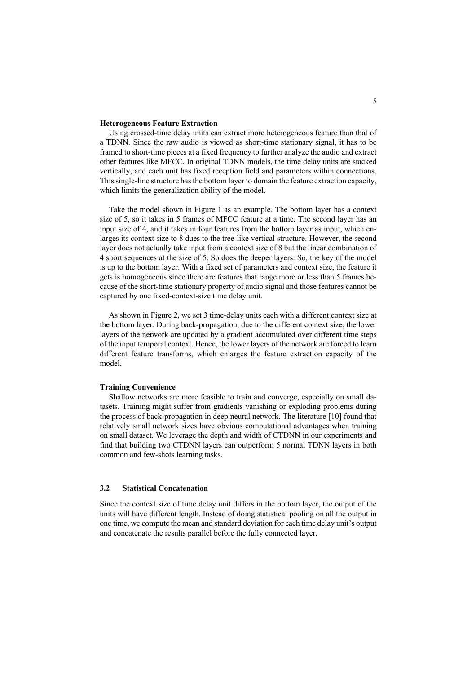#### **Heterogeneous Feature Extraction**

Using crossed-time delay units can extract more heterogeneous feature than that of a TDNN. Since the raw audio is viewed as short-time stationary signal, it has to be framed to short-time pieces at a fixed frequency to further analyze the audio and extract other features like MFCC. In original TDNN models, the time delay units are stacked vertically, and each unit has fixed reception field and parameters within connections. This single-line structure has the bottom layer to domain the feature extraction capacity, which limits the generalization ability of the model.

Take the model shown in Figure 1 as an example. The bottom layer has a context size of 5, so it takes in 5 frames of MFCC feature at a time. The second layer has an input size of 4, and it takes in four features from the bottom layer as input, which enlarges its context size to 8 dues to the tree-like vertical structure. However, the second layer does not actually take input from a context size of 8 but the linear combination of 4 short sequences at the size of 5. So does the deeper layers. So, the key of the model is up to the bottom layer. With a fixed set of parameters and context size, the feature it gets is homogeneous since there are features that range more or less than 5 frames because of the short-time stationary property of audio signal and those features cannot be captured by one fixed-context-size time delay unit.

As shown in Figure 2, we set 3 time-delay units each with a different context size at the bottom layer. During back-propagation, due to the different context size, the lower layers of the network are updated by a gradient accumulated over different time steps of the input temporal context. Hence, the lower layers of the network are forced to learn different feature transforms, which enlarges the feature extraction capacity of the model.

#### **Training Convenience**

Shallow networks are more feasible to train and converge, especially on small datasets. Training might suffer from gradients vanishing or exploding problems during the process of back-propagation in deep neural network. The literature [10] found that relatively small network sizes have obvious computational advantages when training on small dataset. We leverage the depth and width of CTDNN in our experiments and find that building two CTDNN layers can outperform 5 normal TDNN layers in both common and few-shots learning tasks.

### **3.2 Statistical Concatenation**

Since the context size of time delay unit differs in the bottom layer, the output of the units will have different length. Instead of doing statistical pooling on all the output in one time, we compute the mean and standard deviation for each time delay unit's output and concatenate the results parallel before the fully connected layer.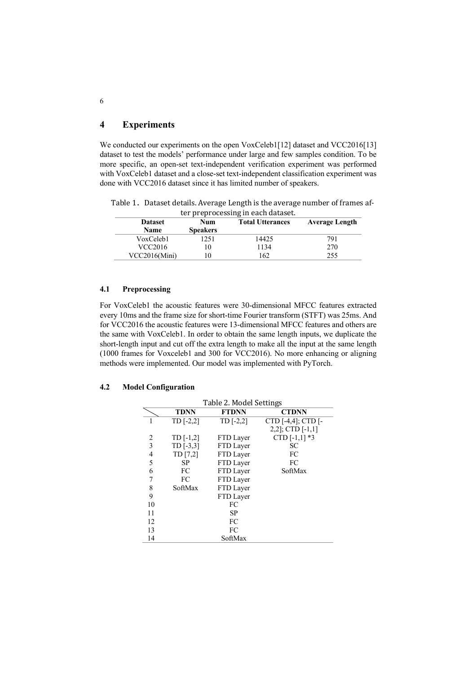# **4 Experiments**

We conducted our experiments on the open VoxCeleb1[12] dataset and VCC2016[13] dataset to test the models' performance under large and few samples condition. To be more specific, an open-set text-independent verification experiment was performed with VoxCeleb1 dataset and a close-set text-independent classification experiment was done with VCC2016 dataset since it has limited number of speakers.

Table 1. Dataset details. Average Length is the average number of frames after preprocessing in each dataset.

| <b>Dataset</b><br>Name | Num<br><b>Speakers</b> | ter preprocessing in each addition<br><b>Total Utterances</b> | <b>Average Length</b> |
|------------------------|------------------------|---------------------------------------------------------------|-----------------------|
| VoxCeleb1              | 251                    | 14425                                                         | 791                   |
| VCC2016                | 10                     | 1134                                                          | 270                   |
| VCC2016(Mini)          | 10                     | 162                                                           | 255                   |

#### **4.1 Preprocessing**

For VoxCeleb1 the acoustic features were 30-dimensional MFCC features extracted every 10ms and the frame size for short-time Fourier transform (STFT) was 25ms. And for VCC2016 the acoustic features were 13-dimensional MFCC features and others are the same with VoxCeleb1. In order to obtain the same length inputs, we duplicate the short-length input and cut off the extra length to make all the input at the same length (1000 frames for Voxceleb1 and 300 for VCC2016). No more enhancing or aligning methods were implemented. Our model was implemented with PyTorch.

### **4.2 Model Configuration**

|    | Table 2. Model Settings |              |                         |  |  |
|----|-------------------------|--------------|-------------------------|--|--|
|    | <b>TDNN</b>             | <b>FTDNN</b> | <b>CTDNN</b>            |  |  |
|    | $TD$ [-2,2]             | $TD$ [-2,2]  | CTD $[-4,4]$ ; CTD $[-$ |  |  |
|    |                         |              | $2,2$ ; CTD $[-1,1]$    |  |  |
| 2  | $TD[-1,2]$              | FTD Layer    | CTD $[-1,1]$ *3         |  |  |
| 3  | $TD$ [-3,3]             | FTD Layer    | SC                      |  |  |
| 4  | TD [7,2]                | FTD Layer    | FC                      |  |  |
| 5  | SP.                     | FTD Layer    | FC                      |  |  |
| 6  | FC                      | FTD Layer    | SoftMax                 |  |  |
| 7  | FC                      | FTD Layer    |                         |  |  |
| 8  | SoftMax                 | FTD Layer    |                         |  |  |
| 9  |                         | FTD Layer    |                         |  |  |
| 10 |                         | FC           |                         |  |  |
| 11 |                         | <b>SP</b>    |                         |  |  |
| 12 |                         | FC           |                         |  |  |
| 13 |                         | FC           |                         |  |  |
| 14 |                         | SoftMax      |                         |  |  |

6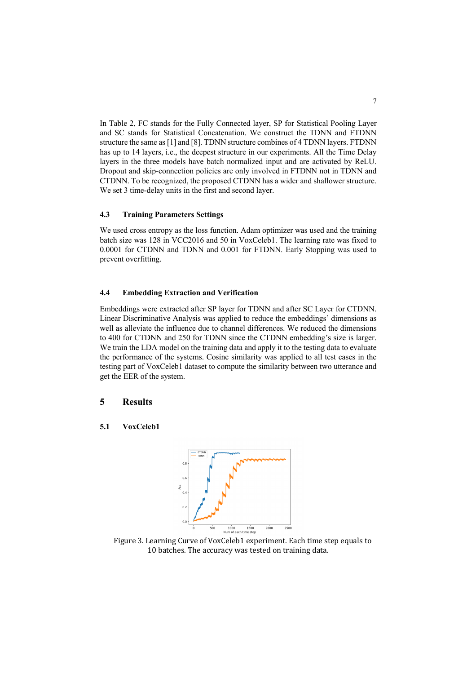In Table 2, FC stands for the Fully Connected layer, SP for Statistical Pooling Layer and SC stands for Statistical Concatenation. We construct the TDNN and FTDNN structure the same as [1] and [8]. TDNN structure combines of 4 TDNN layers. FTDNN has up to 14 layers, i.e., the deepest structure in our experiments. All the Time Delay layers in the three models have batch normalized input and are activated by ReLU. Dropout and skip-connection policies are only involved in FTDNN not in TDNN and CTDNN. To be recognized, the proposed CTDNN has a wider and shallower structure. We set 3 time-delay units in the first and second layer.

#### **4.3 Training Parameters Settings**

We used cross entropy as the loss function. Adam optimizer was used and the training batch size was 128 in VCC2016 and 50 in VoxCeleb1. The learning rate was fixed to 0.0001 for CTDNN and TDNN and 0.001 for FTDNN. Early Stopping was used to prevent overfitting.

### **4.4 Embedding Extraction and Verification**

Embeddings were extracted after SP layer for TDNN and after SC Layer for CTDNN. Linear Discriminative Analysis was applied to reduce the embeddings' dimensions as well as alleviate the influence due to channel differences. We reduced the dimensions to 400 for CTDNN and 250 for TDNN since the CTDNN embedding's size is larger. We train the LDA model on the training data and apply it to the testing data to evaluate the performance of the systems. Cosine similarity was applied to all test cases in the testing part of VoxCeleb1 dataset to compute the similarity between two utterance and get the EER of the system.

#### **5 Results**

**5.1 VoxCeleb1**



Figure 3. Learning Curve of VoxCeleb1 experiment. Each time step equals to 10 batches. The accuracy was tested on training data.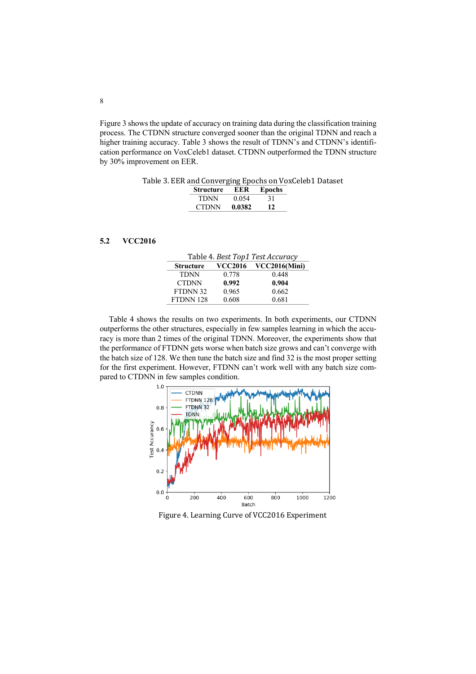Figure 3 shows the update of accuracy on training data during the classification training process. The CTDNN structure converged sooner than the original TDNN and reach a higher training accuracy. Table 3 shows the result of TDNN's and CTDNN's identification performance on VoxCeleb1 dataset. CTDNN outperformed the TDNN structure by 30% improvement on EER.

Table 3. EER and Converging Epochs on VoxCeleb1 Dataset

| <b>Structure</b> | EER    | Epochs |
|------------------|--------|--------|
| TDNN             | 0.054  | 31     |
| <b>CTDNN</b>     | 0.0382 | 12     |

### **5.2 VCC2016**

| Table 4. Best Top1 Test Accuracy |       |                       |  |  |
|----------------------------------|-------|-----------------------|--|--|
| <b>Structure</b>                 |       | VCC2016 VCC2016(Mini) |  |  |
| <b>TDNN</b>                      | 0.778 | 0.448                 |  |  |
| <b>CTDNN</b>                     | 0.992 | 0.904                 |  |  |
| FTDNN 32                         | 0.965 | 0.662                 |  |  |
| FTDNN 128                        | 0.608 | 0.681                 |  |  |

Table 4 shows the results on two experiments. In both experiments, our CTDNN outperforms the other structures, especially in few samples learning in which the accuracy is more than 2 times of the original TDNN. Moreover, the experiments show that the performance of FTDNN gets worse when batch size grows and can't converge with the batch size of 128. We then tune the batch size and find 32 is the most proper setting for the first experiment. However, FTDNN can't work well with any batch size compared to CTDNN in few samples condition.



Figure 4. Learning Curve of VCC2016 Experiment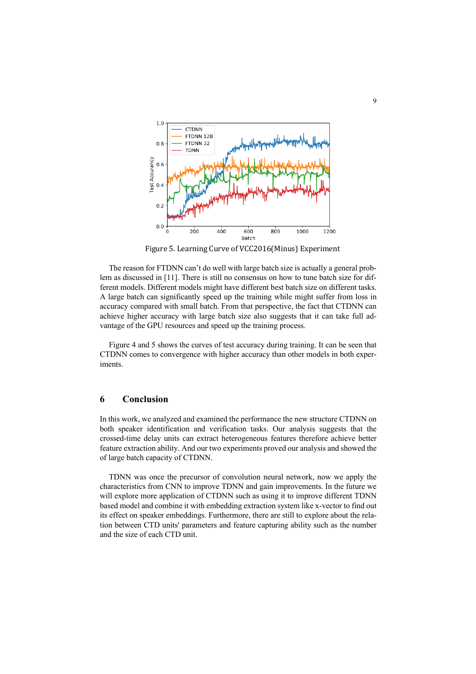

Figure 5. Learning Curve of VCC2016(Minus) Experiment

The reason for FTDNN can't do well with large batch size is actually a general problem as discussed in [11]. There is still no consensus on how to tune batch size for different models. Different models might have different best batch size on different tasks. A large batch can significantly speed up the training while might suffer from loss in accuracy compared with small batch. From that perspective, the fact that CTDNN can achieve higher accuracy with large batch size also suggests that it can take full advantage of the GPU resources and speed up the training process.

Figure 4 and 5 shows the curves of test accuracy during training. It can be seen that CTDNN comes to convergence with higher accuracy than other models in both experiments.

# **6 Conclusion**

In this work, we analyzed and examined the performance the new structure CTDNN on both speaker identification and verification tasks. Our analysis suggests that the crossed-time delay units can extract heterogeneous features therefore achieve better feature extraction ability. And our two experiments proved our analysis and showed the of large batch capacity of CTDNN.

TDNN was once the precursor of convolution neural network, now we apply the characteristics from CNN to improve TDNN and gain improvements. In the future we will explore more application of CTDNN such as using it to improve different TDNN based model and combine it with embedding extraction system like x-vector to find out its effect on speaker embeddings. Furthermore, there are still to explore about the relation between CTD units' parameters and feature capturing ability such as the number and the size of each CTD unit.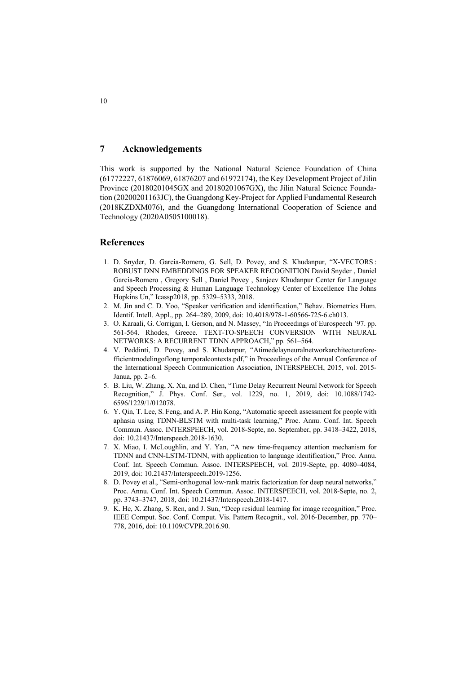### **7 Acknowledgements**

This work is supported by the National Natural Science Foundation of China (61772227, 61876069, 61876207 and 61972174), the Key Development Project of Jilin Province (20180201045GX and 20180201067GX), the Jilin Natural Science Foundation (20200201163JC), the Guangdong Key-Project for Applied Fundamental Research (2018KZDXM076), and the Guangdong International Cooperation of Science and Technology (2020A0505100018).

### **References**

- 1. D. Snyder, D. Garcia-Romero, G. Sell, D. Povey, and S. Khudanpur, "X-VECTORS : ROBUST DNN EMBEDDINGS FOR SPEAKER RECOGNITION David Snyder , Daniel Garcia-Romero , Gregory Sell , Daniel Povey , Sanjeev Khudanpur Center for Language and Speech Processing & Human Language Technology Center of Excellence The Johns Hopkins Un," Icassp2018, pp. 5329–5333, 2018.
- 2. M. Jin and C. D. Yoo, "Speaker verification and identification," Behav. Biometrics Hum. Identif. Intell. Appl., pp. 264–289, 2009, doi: 10.4018/978-1-60566-725-6.ch013.
- 3. O. Karaali, G. Corrigan, I. Gerson, and N. Massey, "In Proceedings of Eurospeech '97. pp. 561-564. Rhodes, Greece. TEXT-TO-SPEECH CONVERSION WITH NEURAL NETWORKS: A RECURRENT TDNN APPROACH," pp. 561–564.
- 4. V. Peddinti, D. Povey, and S. Khudanpur, "Atimedelayneuralnetworkarchitectureforefficientmodelingoflong temporalcontexts.pdf," in Proceedings of the Annual Conference of the International Speech Communication Association, INTERSPEECH, 2015, vol. 2015- Janua, pp. 2–6.
- 5. B. Liu, W. Zhang, X. Xu, and D. Chen, "Time Delay Recurrent Neural Network for Speech Recognition," J. Phys. Conf. Ser., vol. 1229, no. 1, 2019, doi: 10.1088/1742- 6596/1229/1/012078.
- 6. Y. Qin, T. Lee, S. Feng, and A. P. Hin Kong, "Automatic speech assessment for people with aphasia using TDNN-BLSTM with multi-task learning," Proc. Annu. Conf. Int. Speech Commun. Assoc. INTERSPEECH, vol. 2018-Septe, no. September, pp. 3418–3422, 2018, doi: 10.21437/Interspeech.2018-1630.
- 7. X. Miao, I. McLoughlin, and Y. Yan, "A new time-frequency attention mechanism for TDNN and CNN-LSTM-TDNN, with application to language identification," Proc. Annu. Conf. Int. Speech Commun. Assoc. INTERSPEECH, vol. 2019-Septe, pp. 4080–4084, 2019, doi: 10.21437/Interspeech.2019-1256.
- 8. D. Povey et al., "Semi-orthogonal low-rank matrix factorization for deep neural networks," Proc. Annu. Conf. Int. Speech Commun. Assoc. INTERSPEECH, vol. 2018-Septe, no. 2, pp. 3743–3747, 2018, doi: 10.21437/Interspeech.2018-1417.
- 9. K. He, X. Zhang, S. Ren, and J. Sun, "Deep residual learning for image recognition," Proc. IEEE Comput. Soc. Conf. Comput. Vis. Pattern Recognit., vol. 2016-December, pp. 770– 778, 2016, doi: 10.1109/CVPR.2016.90.